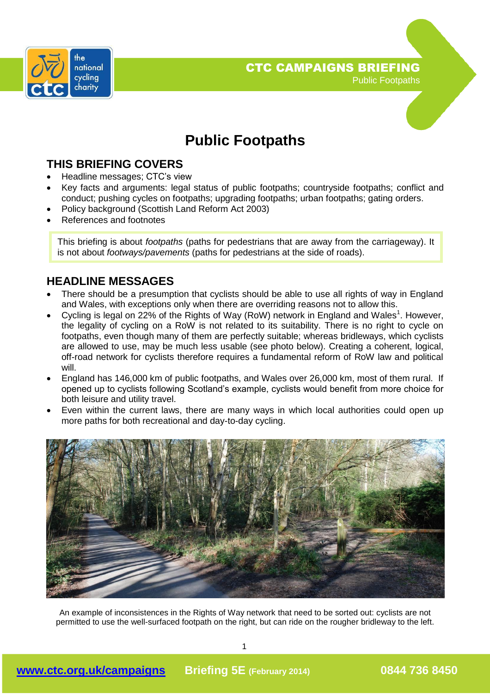

# **Public Footpaths**

### **THIS BRIEFING COVERS**

- Headline messages; CTC's view
- Key facts and arguments: legal status of public footpaths; countryside footpaths; conflict and conduct; pushing cycles on footpaths; upgrading footpaths; urban footpaths; gating orders.
- Policy background (Scottish Land Reform Act 2003)
- References and footnotes

This briefing is about *footpaths* (paths for pedestrians that are away from the carriageway). It is not about *footways/pavements* (paths for pedestrians at the side of roads).

### **HEADLINE MESSAGES**

- There should be a presumption that cyclists should be able to use all rights of way in England and Wales, with exceptions only when there are overriding reasons not to allow this.
- Cycling is legal on 22% of the Rights of Way (RoW) network in England and Wales<sup>1</sup>. However, the legality of cycling on a RoW is not related to its suitability. There is no right to cycle on footpaths, even though many of them are perfectly suitable; whereas bridleways, which cyclists are allowed to use, may be much less usable (see photo below). Creating a coherent, logical, off-road network for cyclists therefore requires a fundamental reform of RoW law and political will.
- England has 146,000 km of public footpaths, and Wales over 26,000 km, most of them rural. If opened up to cyclists following Scotland's example, cyclists would benefit from more choice for both leisure and utility travel.
- Even within the current laws, there are many ways in which local authorities could open up more paths for both recreational and day-to-day cycling.



An example of inconsistences in the Rights of Way network that need to be sorted out: cyclists are not permitted to use the well-surfaced footpath on the right, but can ride on the rougher bridleway to the left.

1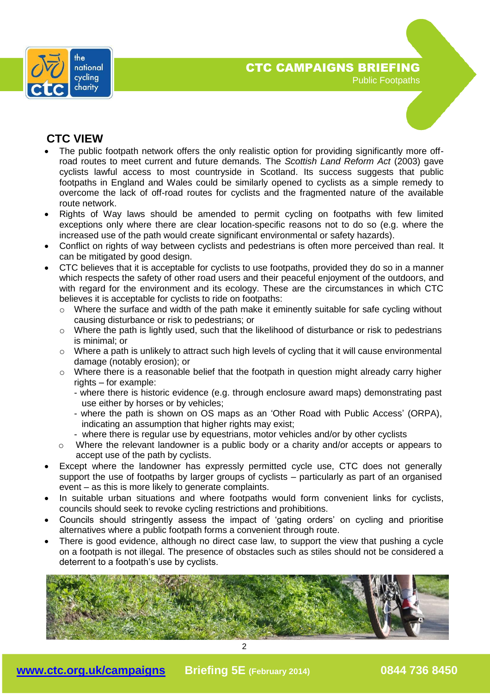

### **CTC VIEW**

- The public footpath network offers the only realistic option for providing significantly more offroad routes to meet current and future demands. The *Scottish Land Reform Act* (2003) gave cyclists lawful access to most countryside in Scotland. Its success suggests that public footpaths in England and Wales could be similarly opened to cyclists as a simple remedy to overcome the lack of off-road routes for cyclists and the fragmented nature of the available route network.
- Rights of Way laws should be amended to permit cycling on footpaths with few limited exceptions only where there are clear location-specific reasons not to do so (e.g. where the increased use of the path would create significant environmental or safety hazards).
- Conflict on rights of way between cyclists and pedestrians is often more perceived than real. It can be mitigated by good design.
- CTC believes that it is acceptable for cyclists to use footpaths, provided they do so in a manner which respects the safety of other road users and their peaceful enjoyment of the outdoors, and with regard for the environment and its ecology. These are the circumstances in which CTC believes it is acceptable for cyclists to ride on footpaths:
	- $\circ$  Where the surface and width of the path make it eminently suitable for safe cycling without causing disturbance or risk to pedestrians; or
	- o Where the path is lightly used, such that the likelihood of disturbance or risk to pedestrians is minimal; or
	- $\circ$  Where a path is unlikely to attract such high levels of cycling that it will cause environmental damage (notably erosion); or
	- $\circ$  Where there is a reasonable belief that the footpath in question might already carry higher rights – for example:
		- where there is historic evidence (e.g. through enclosure award maps) demonstrating past use either by horses or by vehicles;
		- where the path is shown on OS maps as an 'Other Road with Public Access' (ORPA), indicating an assumption that higher rights may exist;
		- where there is regular use by equestrians, motor vehicles and/or by other cyclists
	- o Where the relevant landowner is a public body or a charity and/or accepts or appears to accept use of the path by cyclists.
- Except where the landowner has expressly permitted cycle use, CTC does not generally support the use of footpaths by larger groups of cyclists – particularly as part of an organised event – as this is more likely to generate complaints.
- In suitable urban situations and where footpaths would form convenient links for cyclists, councils should seek to revoke cycling restrictions and prohibitions.
- Councils should stringently assess the impact of 'gating orders' on cycling and prioritise alternatives where a public footpath forms a convenient through route.
- There is good evidence, although no direct case law, to support the view that pushing a cycle on a footpath is not illegal. The presence of obstacles such as stiles should not be considered a deterrent to a footpath's use by cyclists.

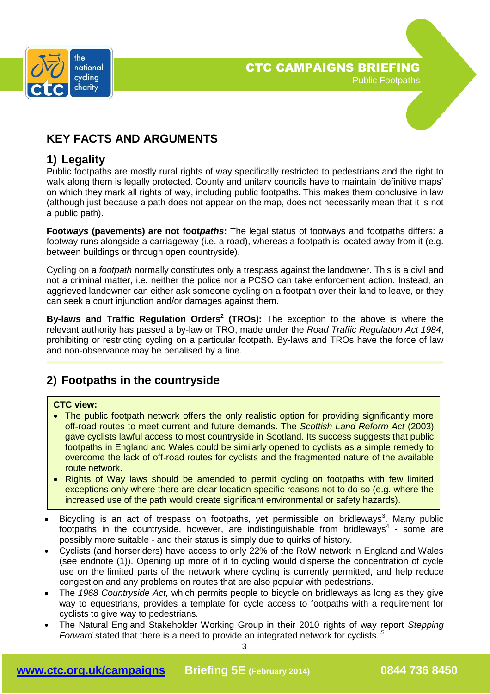

### **KEY FACTS AND ARGUMENTS**

### **1) Legality**

Public footpaths are mostly rural rights of way specifically restricted to pedestrians and the right to walk along them is legally protected. County and unitary councils have to maintain 'definitive maps' on which they mark all rights of way, including public footpaths. This makes them conclusive in law (although just because a path does not appear on the map, does not necessarily mean that it is not a public path).

**Foot***ways* **(pavements) are not foot***paths***:** The legal status of footways and footpaths differs: a footway runs alongside a carriageway (i.e. a road), whereas a footpath is located away from it (e.g. between buildings or through open countryside).

Cycling on a *footpath* normally constitutes only a trespass against the landowner. This is a civil and not a criminal matter, i.e. neither the police nor a PCSO can take enforcement action. Instead, an aggrieved landowner can either ask someone cycling on a footpath over their land to leave, or they can seek a court injunction and/or damages against them.

**By-laws and Traffic Regulation Orders<sup>2</sup> (TROs):** The exception to the above is where the relevant authority has passed a by-law or TRO, made under the *Road Traffic Regulation Act 1984*, prohibiting or restricting cycling on a particular footpath. By-laws and TROs have the force of law and non-observance may be penalised by a fine.

## **2) Footpaths in the countryside**

#### **CTC view:**

- The public footpath network offers the only realistic option for providing significantly more off-road routes to meet current and future demands. The *Scottish Land Reform Act* (2003) gave cyclists lawful access to most countryside in Scotland. Its success suggests that public footpaths in England and Wales could be similarly opened to cyclists as a simple remedy to overcome the lack of off-road routes for cyclists and the fragmented nature of the available route network.
- Rights of Way laws should be amended to permit cycling on footpaths with few limited exceptions only where there are clear location-specific reasons not to do so (e.g. where the increased use of the path would create significant environmental or safety hazards).
- $\bullet$  Bicycling is an act of trespass on footpaths, yet permissible on bridleways<sup>3</sup>. Many public footpaths in the countryside, however, are indistinguishable from bridleways<sup>4</sup> - some are possibly more suitable - and their status is simply due to quirks of history.
- Cyclists (and horseriders) have access to only 22% of the RoW network in England and Wales (see endnote (1)). Opening up more of it to cycling would disperse the concentration of cycle use on the limited parts of the network where cycling is currently permitted, and help reduce congestion and any problems on routes that are also popular with pedestrians.
- The *1968 Countryside Act,* which permits people to bicycle on bridleways as long as they give way to equestrians, provides a template for cycle access to footpaths with a requirement for cyclists to give way to pedestrians.
- The Natural England Stakeholder Working Group in their 2010 rights of way report *Stepping Forward* stated that there is a need to provide an integrated network for cyclists. *<sup>5</sup>*

3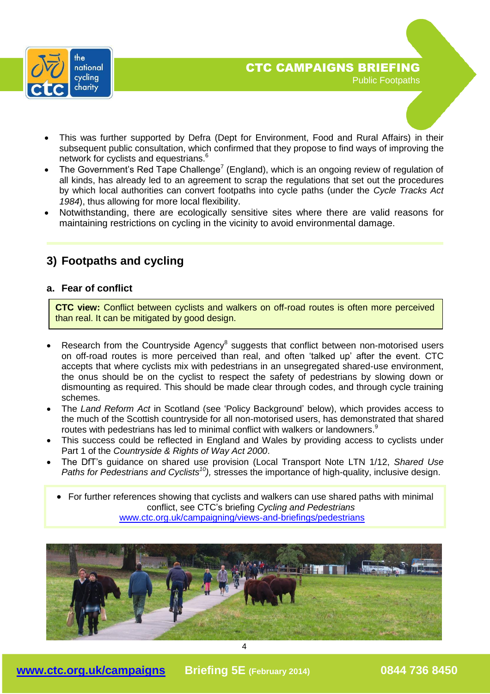

- This was further supported by Defra (Dept for Environment, Food and Rural Affairs) in their subsequent public consultation, which confirmed that they propose to find ways of improving the network for cyclists and equestrians.<sup>6</sup>
- The Government's Red Tape Challenge<sup>7</sup> (England), which is an ongoing review of regulation of all kinds, has already led to an agreement to scrap the regulations that set out the procedures by which local authorities can convert footpaths into cycle paths (under the *Cycle Tracks Act 1984*), thus allowing for more local flexibility.
- Notwithstanding, there are ecologically sensitive sites where there are valid reasons for maintaining restrictions on cycling in the vicinity to avoid environmental damage.

### **3) Footpaths and cycling**

### **a. Fear of conflict**

**CTC view:** Conflict between cyclists and walkers on off-road routes is often more perceived than real. It can be mitigated by good design.

- Research from the Countryside Agency $8$  suggests that conflict between non-motorised users on off-road routes is more perceived than real, and often 'talked up' after the event. CTC accepts that where cyclists mix with pedestrians in an unsegregated shared-use environment, the onus should be on the cyclist to respect the safety of pedestrians by slowing down or dismounting as required. This should be made clear through codes, and through cycle training schemes.
- The *Land Reform Act* in Scotland (see 'Policy Background' below), which provides access to the much of the Scottish countryside for all non-motorised users, has demonstrated that shared routes with pedestrians has led to minimal conflict with walkers or landowners.<sup>9</sup>
- This success could be reflected in England and Wales by providing access to cyclists under Part 1 of the *Countryside & Rights of Way Act 2000*.
- The DfT's guidance on shared use provision (Local Transport Note LTN 1/12, *Shared Use Paths for Pedestrians and Cyclists<sup>10</sup>),* stresses the importance of high-quality, inclusive design.

• For further references showing that cyclists and walkers can use shared paths with minimal conflict, see CTC's briefing *Cycling and Pedestrians* [www.ctc.org.uk/campaigning/views-and-briefings/pedestrians](http://www.ctc.org.uk/campaigning/views-and-briefings/pedestrians)

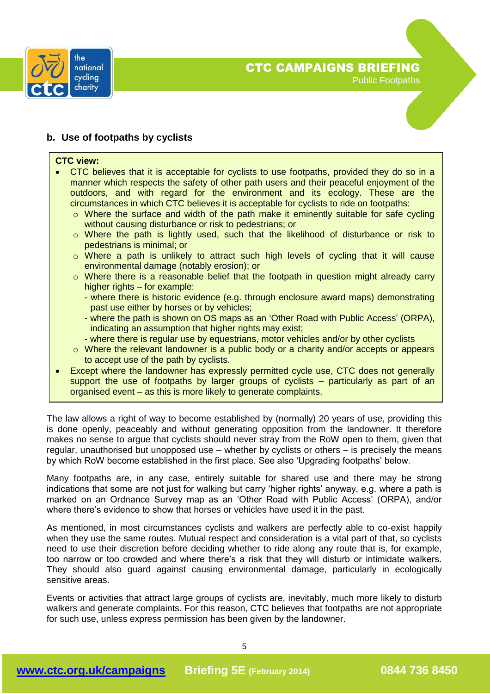

#### **b. Use of footpaths by cyclists**

#### **CTC view:**

- CTC believes that it is acceptable for cyclists to use footpaths, provided they do so in a manner which respects the safety of other path users and their peaceful enjoyment of the outdoors, and with regard for the environment and its ecology. These are the circumstances in which CTC believes it is acceptable for cyclists to ride on footpaths:
	- o Where the surface and width of the path make it eminently suitable for safe cycling without causing disturbance or risk to pedestrians; or
	- o Where the path is lightly used, such that the likelihood of disturbance or risk to pedestrians is minimal; or
	- o Where a path is unlikely to attract such high levels of cycling that it will cause environmental damage (notably erosion); or
	- o Where there is a reasonable belief that the footpath in question might already carry higher rights – for example:
		- where there is historic evidence (e.g. through enclosure award maps) demonstrating past use either by horses or by vehicles;
		- where the path is shown on OS maps as an 'Other Road with Public Access' (ORPA), indicating an assumption that higher rights may exist;
		- where there is regular use by equestrians, motor vehicles and/or by other cyclists
	- o Where the relevant landowner is a public body or a charity and/or accepts or appears to accept use of the path by cyclists.
- Except where the landowner has expressly permitted cycle use, CTC does not generally support the use of footpaths by larger groups of cyclists – particularly as part of an organised event – as this is more likely to generate complaints.

The law allows a right of way to become established by (normally) 20 years of use, providing this is done openly, peaceably and without generating opposition from the landowner. It therefore makes no sense to argue that cyclists should never stray from the RoW open to them, given that regular, unauthorised but unopposed use – whether by cyclists or others – is precisely the means by which RoW become established in the first place. See also 'Upgrading footpaths' below.

Many footpaths are, in any case, entirely suitable for shared use and there may be strong indications that some are not just for walking but carry 'higher rights' anyway, e.g. where a path is marked on an Ordnance Survey map as an 'Other Road with Public Access' (ORPA), and/or where there's evidence to show that horses or vehicles have used it in the past.

As mentioned, in most circumstances cyclists and walkers are perfectly able to co-exist happily when they use the same routes. Mutual respect and consideration is a vital part of that, so cyclists need to use their discretion before deciding whether to ride along any route that is, for example, too narrow or too crowded and where there's a risk that they will disturb or intimidate walkers. They should also guard against causing environmental damage, particularly in ecologically sensitive areas.

Events or activities that attract large groups of cyclists are, inevitably, much more likely to disturb walkers and generate complaints. For this reason, CTC believes that footpaths are not appropriate for such use, unless express permission has been given by the landowner.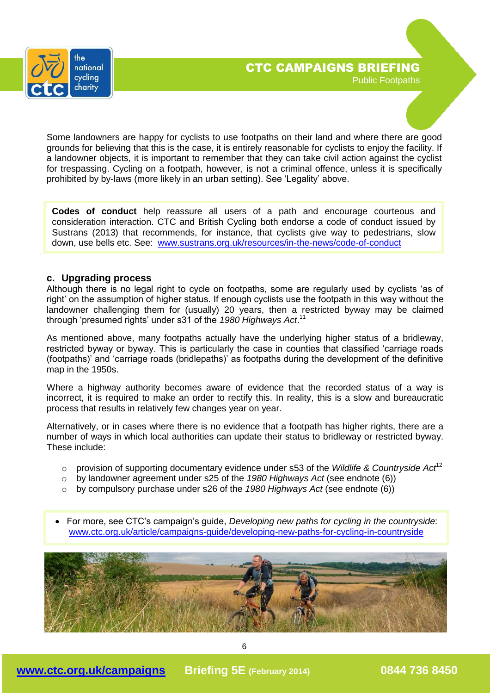

Some landowners are happy for cyclists to use footpaths on their land and where there are good grounds for believing that this is the case, it is entirely reasonable for cyclists to enjoy the facility. If a landowner objects, it is important to remember that they can take civil action against the cyclist for trespassing. Cycling on a footpath, however, is not a criminal offence, unless it is specifically prohibited by by-laws (more likely in an urban setting). See 'Legality' above.

**Codes of conduct** help reassure all users of a path and encourage courteous and consideration interaction. CTC and British Cycling both endorse a code of conduct issued by Sustrans (2013) that recommends, for instance, that cyclists give way to pedestrians, slow down, use bells etc. See: [www.sustrans.org.uk/resources/in-the-news/code-of-conduct](http://www.sustrans.org.uk/resources/in-the-news/code-of-conduct)

#### **c. Upgrading process**

Although there is no legal right to cycle on footpaths, some are regularly used by cyclists 'as of right' on the assumption of higher status. If enough cyclists use the footpath in this way without the landowner challenging them for (usually) 20 years, then a restricted byway may be claimed through 'presumed rights' under s31 of the *1980 Highways Act*. 11

As mentioned above, many footpaths actually have the underlying higher status of a bridleway, restricted byway or byway. This is particularly the case in counties that classified 'carriage roads (footpaths)' and 'carriage roads (bridlepaths)' as footpaths during the development of the definitive map in the 1950s.

Where a highway authority becomes aware of evidence that the recorded status of a way is incorrect, it is required to make an order to rectify this. In reality, this is a slow and bureaucratic process that results in relatively few changes year on year.

Alternatively, or in cases where there is no evidence that a footpath has higher rights, there are a number of ways in which local authorities can update their status to bridleway or restricted byway. These include:

- o provision of supporting documentary evidence under s53 of the *Wildlife & Countryside Act*<sup>12</sup>
- o by landowner agreement under s25 of the *1980 Highways Act* (see endnote (6))
- o by compulsory purchase under s26 of the *1980 Highways Act* (see endnote (6))
- For more, see CTC's campaign's guide, *Developing new paths for cycling in the countryside*: [www.ctc.org.uk/article/campaigns-guide/developing-new-paths-for-cycling-in-countryside](http://www.ctc.org.uk/article/campaigns-guide/developing-new-paths-for-cycling-in-countryside)

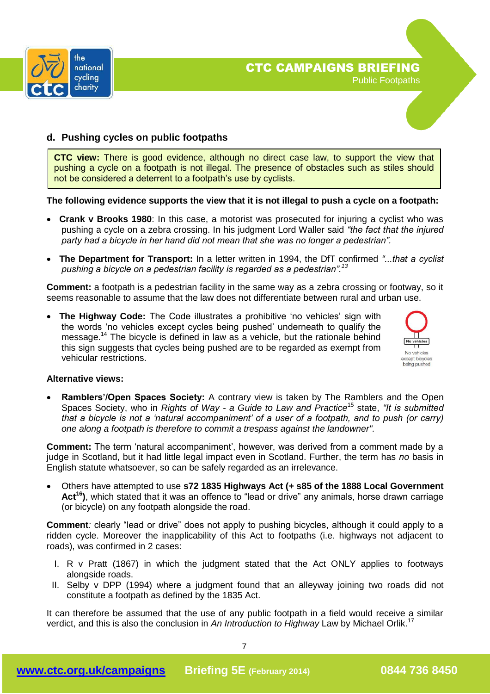



#### **d. Pushing cycles on public footpaths**

**CTC view:** There is good evidence, although no direct case law, to support the view that pushing a cycle on a footpath is not illegal. The presence of obstacles such as stiles should not be considered a deterrent to a footpath's use by cyclists.

#### **The following evidence supports the view that it is not illegal to push a cycle on a footpath:**

- **Crank v Brooks 1980**: In this case, a motorist was prosecuted for injuring a cyclist who was pushing a cycle on a zebra crossing. In his judgment Lord Waller said *"the fact that the injured party had a bicycle in her hand did not mean that she was no longer a pedestrian".*
- **The Department for Transport:** In a letter written in 1994, the DfT confirmed *"...that a cyclist pushing a bicycle on a pedestrian facility is regarded as a pedestrian".<sup>13</sup>*

**Comment:** a footpath is a pedestrian facility in the same way as a zebra crossing or footway, so it seems reasonable to assume that the law does not differentiate between rural and urban use.

 **The Highway Code:** The Code illustrates a prohibitive 'no vehicles' sign with the words 'no vehicles except cycles being pushed' underneath to qualify the message.<sup>14</sup> The bicycle is defined in law as a vehicle, but the rationale behind this sign suggests that cycles being pushed are to be regarded as exempt from vehicular restrictions.



#### **Alternative views:**

 **Ramblers'/Open Spaces Society:** A contrary view is taken by The Ramblers and the Open Spaces Society, who in *Rights of Way - a Guide to Law and Practice*<sup>15</sup> state, *"It is submitted that a bicycle is not a 'natural accompaniment' of a user of a footpath, and to push (or carry) one along a footpath is therefore to commit a trespass against the landowner".*

**Comment:** The term 'natural accompaniment', however, was derived from a comment made by a judge in Scotland, but it had little legal impact even in Scotland. Further, the term has *no* basis in English statute whatsoever, so can be safely regarded as an irrelevance.

 Others have attempted to use **s72 1835 Highways Act (+ s85 of the 1888 Local Government Act<sup>16</sup>)**, which stated that it was an offence to "lead or drive" any animals, horse drawn carriage (or bicycle) on any footpath alongside the road.

**Comment***:* clearly "lead or drive" does not apply to pushing bicycles, although it could apply to a ridden cycle. Moreover the inapplicability of this Act to footpaths (i.e. highways not adjacent to roads), was confirmed in 2 cases:

- I. R v Pratt (1867) in which the judgment stated that the Act ONLY applies to footways alongside roads.
- II. Selby v DPP (1994) where a judgment found that an alleyway joining two roads did not constitute a footpath as defined by the 1835 Act.

It can therefore be assumed that the use of any public footpath in a field would receive a similar verdict, and this is also the conclusion in *An Introduction to Highway* Law by Michael Orlik.<sup>17</sup>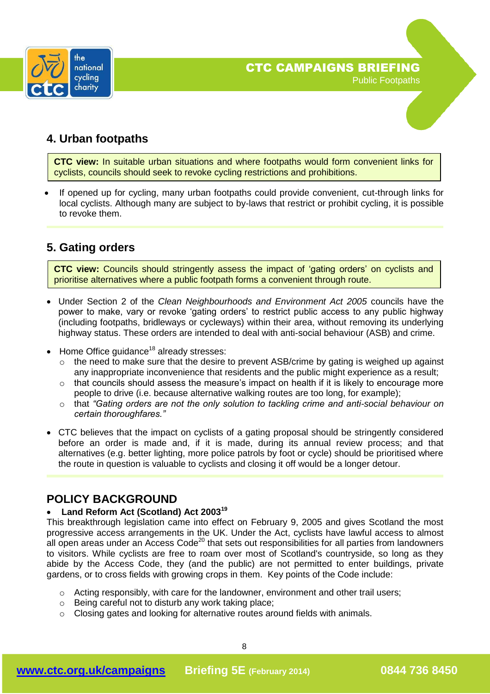

### **4. Urban footpaths**

**CTC view:** In suitable urban situations and where footpaths would form convenient links for cyclists, councils should seek to revoke cycling restrictions and prohibitions.

 If opened up for cycling, many urban footpaths could provide convenient, cut-through links for local cyclists. Although many are subject to by-laws that restrict or prohibit cycling, it is possible to revoke them.

### **5. Gating orders**

**CTC view:** Councils should stringently assess the impact of 'gating orders' on cyclists and prioritise alternatives where a public footpath forms a convenient through route.

- Under Section 2 of the *Clean Neighbourhoods and Environment Act 2005* councils have the power to make, vary or revoke 'gating orders' to restrict public access to any public highway (including footpaths, bridleways or cycleways) within their area, without removing its underlying highway status. These orders are intended to deal with anti-social behaviour (ASB) and crime.
- $\bullet$  Home Office guidance<sup>18</sup> already stresses:
	- o the need to make sure that the desire to prevent ASB/crime by gating is weighed up against any inappropriate inconvenience that residents and the public might experience as a result;
	- o that councils should assess the measure's impact on health if it is likely to encourage more people to drive (i.e. because alternative walking routes are too long, for example);
	- o that *"Gating orders are not the only solution to tackling crime and anti-social behaviour on certain thoroughfares."*
- CTC believes that the impact on cyclists of a gating proposal should be stringently considered before an order is made and, if it is made, during its annual review process; and that alternatives (e.g. better lighting, more police patrols by foot or cycle) should be prioritised where the route in question is valuable to cyclists and closing it off would be a longer detour.

### **POLICY BACKGROUND**

#### **Land Reform Act (Scotland) Act 2003<sup>19</sup>**

This breakthrough legislation came into effect on February 9, 2005 and gives Scotland the most progressive access arrangements in the UK. Under the Act, cyclists have lawful access to almost all open areas under an Access Code<sup>20</sup> that sets out responsibilities for all parties from landowners to visitors. While cyclists are free to roam over most of Scotland's countryside, so long as they abide by the Access Code, they (and the public) are not permitted to enter buildings, private gardens, or to cross fields with growing crops in them. Key points of the Code include:

- o Acting responsibly, with care for the landowner, environment and other trail users;
- o Being careful not to disturb any work taking place;
- o Closing gates and looking for alternative routes around fields with animals.